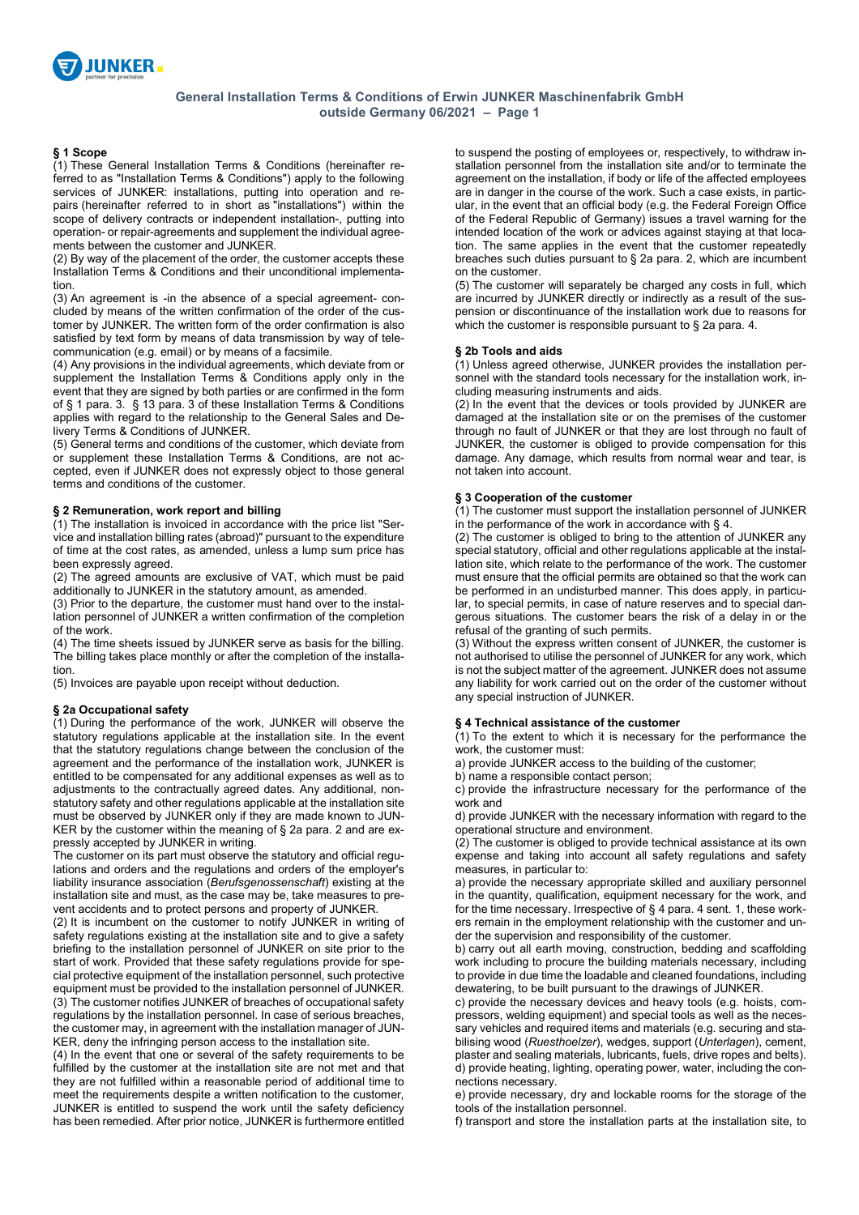

## **§ 1 Scope**

(1) These General Installation Terms & Conditions (hereinafter referred to as "Installation Terms & Conditions") apply to the following services of JUNKER: installations, putting into operation and repairs (hereinafter referred to in short as "installations") within the scope of delivery contracts or independent installation-, putting into operation- or repair-agreements and supplement the individual agreements between the customer and JUNKER.

(2) By way of the placement of the order, the customer accepts these Installation Terms & Conditions and their unconditional implementation.

(3) An agreement is -in the absence of a special agreement- concluded by means of the written confirmation of the order of the customer by JUNKER. The written form of the order confirmation is also satisfied by text form by means of data transmission by way of telecommunication (e.g. email) or by means of a facsimile.

(4) Any provisions in the individual agreements, which deviate from or supplement the Installation Terms & Conditions apply only in the event that they are signed by both parties or are confirmed in the form of § 1 para. 3. § 13 para. 3 of these Installation Terms & Conditions applies with regard to the relationship to the General Sales and Delivery Terms & Conditions of JUNKER.

(5) General terms and conditions of the customer, which deviate from or supplement these Installation Terms & Conditions, are not accepted, even if JUNKER does not expressly object to those general terms and conditions of the customer.

# **§ 2 Remuneration, work report and billing**

(1) The installation is invoiced in accordance with the price list "Service and installation billing rates (abroad)" pursuant to the expenditure of time at the cost rates, as amended, unless a lump sum price has been expressly agreed.

(2) The agreed amounts are exclusive of VAT, which must be paid additionally to JUNKER in the statutory amount, as amended.

(3) Prior to the departure, the customer must hand over to the installation personnel of JUNKER a written confirmation of the completion of the work.

(4) The time sheets issued by JUNKER serve as basis for the billing. The billing takes place monthly or after the completion of the installation.

(5) Invoices are payable upon receipt without deduction.

## **§ 2a Occupational safety**

(1) During the performance of the work, JUNKER will observe the statutory regulations applicable at the installation site. In the event that the statutory regulations change between the conclusion of the agreement and the performance of the installation work, JUNKER is entitled to be compensated for any additional expenses as well as to adjustments to the contractually agreed dates. Any additional, nonstatutory safety and other regulations applicable at the installation site must be observed by JUNKER only if they are made known to JUN-KER by the customer within the meaning of § 2a para. 2 and are expressly accepted by JUNKER in writing.

The customer on its part must observe the statutory and official regulations and orders and the regulations and orders of the employer's liability insurance association (*Berufsgenossenschaft*) existing at the installation site and must, as the case may be, take measures to prevent accidents and to protect persons and property of JUNKER.

(2) It is incumbent on the customer to notify JUNKER in writing of safety regulations existing at the installation site and to give a safety briefing to the installation personnel of JUNKER on site prior to the start of work. Provided that these safety regulations provide for special protective equipment of the installation personnel, such protective equipment must be provided to the installation personnel of JUNKER. (3) The customer notifies JUNKER of breaches of occupational safety regulations by the installation personnel. In case of serious breaches, the customer may, in agreement with the installation manager of JUN-KER, deny the infringing person access to the installation site.

(4) In the event that one or several of the safety requirements to be fulfilled by the customer at the installation site are not met and that they are not fulfilled within a reasonable period of additional time to meet the requirements despite a written notification to the customer, JUNKER is entitled to suspend the work until the safety deficiency has been remedied. After prior notice, JUNKER is furthermore entitled to suspend the posting of employees or, respectively, to withdraw installation personnel from the installation site and/or to terminate the agreement on the installation, if body or life of the affected employees are in danger in the course of the work. Such a case exists, in particular, in the event that an official body (e.g. the Federal Foreign Office of the Federal Republic of Germany) issues a travel warning for the intended location of the work or advices against staying at that location. The same applies in the event that the customer repeatedly breaches such duties pursuant to § 2a para. 2, which are incumbent on the customer.

(5) The customer will separately be charged any costs in full, which are incurred by JUNKER directly or indirectly as a result of the suspension or discontinuance of the installation work due to reasons for which the customer is responsible pursuant to § 2a para. 4.

#### **§ 2b Tools and aids**

(1) Unless agreed otherwise, JUNKER provides the installation personnel with the standard tools necessary for the installation work, including measuring instruments and aids.

(2) In the event that the devices or tools provided by JUNKER are damaged at the installation site or on the premises of the customer through no fault of JUNKER or that they are lost through no fault of JUNKER, the customer is obliged to provide compensation for this damage. Any damage, which results from normal wear and tear, is not taken into account.

#### **§ 3 Cooperation of the customer**

(1) The customer must support the installation personnel of JUNKER in the performance of the work in accordance with § 4.

(2) The customer is obliged to bring to the attention of JUNKER any special statutory, official and other regulations applicable at the installation site, which relate to the performance of the work. The customer must ensure that the official permits are obtained so that the work can be performed in an undisturbed manner. This does apply, in particular, to special permits, in case of nature reserves and to special dangerous situations. The customer bears the risk of a delay in or the refusal of the granting of such permits.

(3) Without the express written consent of JUNKER, the customer is not authorised to utilise the personnel of JUNKER for any work, which is not the subject matter of the agreement. JUNKER does not assume any liability for work carried out on the order of the customer without any special instruction of JUNKER.

#### **§ 4 Technical assistance of the customer**

(1) To the extent to which it is necessary for the performance the work, the customer must:

a) provide JUNKER access to the building of the customer;

b) name a responsible contact person;

c) provide the infrastructure necessary for the performance of the work and

d) provide JUNKER with the necessary information with regard to the operational structure and environment.

(2) The customer is obliged to provide technical assistance at its own expense and taking into account all safety regulations and safety measures, in particular to:

a) provide the necessary appropriate skilled and auxiliary personnel in the quantity, qualification, equipment necessary for the work, and for the time necessary. Irrespective of § 4 para. 4 sent. 1, these workers remain in the employment relationship with the customer and under the supervision and responsibility of the customer.

b) carry out all earth moving, construction, bedding and scaffolding work including to procure the building materials necessary, including to provide in due time the loadable and cleaned foundations, including dewatering, to be built pursuant to the drawings of JUNKER.

c) provide the necessary devices and heavy tools (e.g. hoists, compressors, welding equipment) and special tools as well as the necessary vehicles and required items and materials (e.g. securing and stabilising wood (*Ruesthoelzer*), wedges, support (*Unterlagen*), cement, plaster and sealing materials, lubricants, fuels, drive ropes and belts). d) provide heating, lighting, operating power, water, including the connections necessary.

e) provide necessary, dry and lockable rooms for the storage of the tools of the installation personnel.

f) transport and store the installation parts at the installation site, to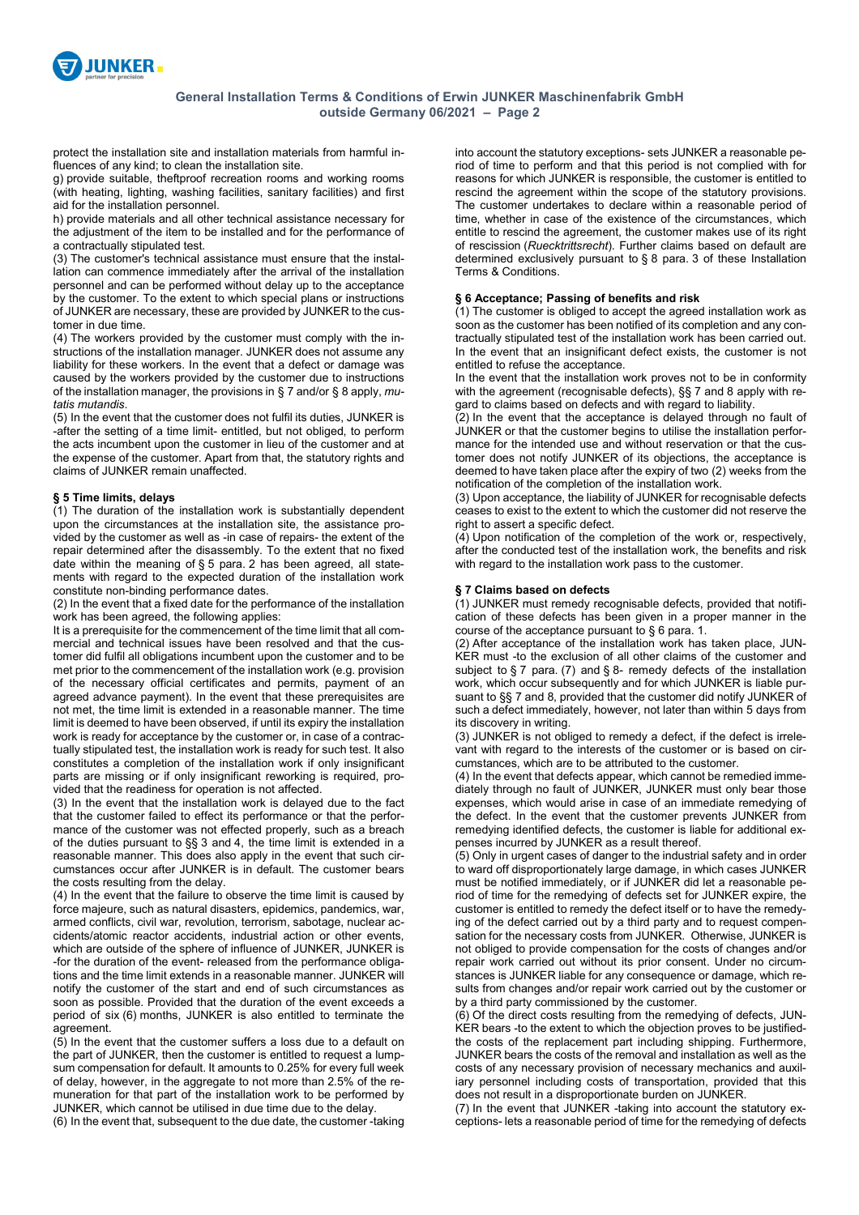

protect the installation site and installation materials from harmful influences of any kind; to clean the installation site.

g) provide suitable, theftproof recreation rooms and working rooms (with heating, lighting, washing facilities, sanitary facilities) and first aid for the installation personnel.

h) provide materials and all other technical assistance necessary for the adjustment of the item to be installed and for the performance of a contractually stipulated test.

(3) The customer's technical assistance must ensure that the installation can commence immediately after the arrival of the installation personnel and can be performed without delay up to the acceptance by the customer. To the extent to which special plans or instructions of JUNKER are necessary, these are provided by JUNKER to the customer in due time.

(4) The workers provided by the customer must comply with the instructions of the installation manager. JUNKER does not assume any liability for these workers. In the event that a defect or damage was caused by the workers provided by the customer due to instructions of the installation manager, the provisions in § 7 and/or § 8 apply, *mutatis mutandis*.

(5) In the event that the customer does not fulfil its duties, JUNKER is -after the setting of a time limit- entitled, but not obliged, to perform the acts incumbent upon the customer in lieu of the customer and at the expense of the customer. Apart from that, the statutory rights and claims of JUNKER remain unaffected.

# **§ 5 Time limits, delays**

(1) The duration of the installation work is substantially dependent upon the circumstances at the installation site, the assistance provided by the customer as well as -in case of repairs- the extent of the repair determined after the disassembly. To the extent that no fixed date within the meaning of § 5 para. 2 has been agreed, all statements with regard to the expected duration of the installation work constitute non-binding performance dates.

(2) In the event that a fixed date for the performance of the installation work has been agreed, the following applies:

It is a prerequisite for the commencement of the time limit that all commercial and technical issues have been resolved and that the customer did fulfil all obligations incumbent upon the customer and to be met prior to the commencement of the installation work (e.g. provision of the necessary official certificates and permits, payment of an agreed advance payment). In the event that these prerequisites are not met, the time limit is extended in a reasonable manner. The time limit is deemed to have been observed, if until its expiry the installation work is ready for acceptance by the customer or, in case of a contractually stipulated test, the installation work is ready for such test. It also constitutes a completion of the installation work if only insignificant parts are missing or if only insignificant reworking is required, provided that the readiness for operation is not affected.

(3) In the event that the installation work is delayed due to the fact that the customer failed to effect its performance or that the performance of the customer was not effected properly, such as a breach of the duties pursuant to §§ 3 and 4, the time limit is extended in a reasonable manner. This does also apply in the event that such circumstances occur after JUNKER is in default. The customer bears the costs resulting from the delay.

(4) In the event that the failure to observe the time limit is caused by force majeure, such as natural disasters, epidemics, pandemics, war, armed conflicts, civil war, revolution, terrorism, sabotage, nuclear accidents/atomic reactor accidents, industrial action or other events, which are outside of the sphere of influence of JUNKER, JUNKER is -for the duration of the event- released from the performance obligations and the time limit extends in a reasonable manner. JUNKER will notify the customer of the start and end of such circumstances as soon as possible. Provided that the duration of the event exceeds a period of six (6) months, JUNKER is also entitled to terminate the agreement.

(5) In the event that the customer suffers a loss due to a default on the part of JUNKER, then the customer is entitled to request a lumpsum compensation for default. It amounts to 0.25% for every full week of delay, however, in the aggregate to not more than 2.5% of the remuneration for that part of the installation work to be performed by JUNKER, which cannot be utilised in due time due to the delay.

(6) In the event that, subsequent to the due date, the customer -taking

into account the statutory exceptions- sets JUNKER a reasonable period of time to perform and that this period is not complied with for reasons for which JUNKER is responsible, the customer is entitled to rescind the agreement within the scope of the statutory provisions. The customer undertakes to declare within a reasonable period of time, whether in case of the existence of the circumstances, which entitle to rescind the agreement, the customer makes use of its right of rescission (*Ruecktrittsrecht*). Further claims based on default are determined exclusively pursuant to § 8 para. 3 of these Installation Terms & Conditions.

#### **§ 6 Acceptance; Passing of benefits and risk**

(1) The customer is obliged to accept the agreed installation work as soon as the customer has been notified of its completion and any contractually stipulated test of the installation work has been carried out. In the event that an insignificant defect exists, the customer is not entitled to refuse the acceptance.

In the event that the installation work proves not to be in conformity with the agreement (recognisable defects), §§ 7 and 8 apply with regard to claims based on defects and with regard to liability.

(2) In the event that the acceptance is delayed through no fault of JUNKER or that the customer begins to utilise the installation performance for the intended use and without reservation or that the customer does not notify JUNKER of its objections, the acceptance is deemed to have taken place after the expiry of two (2) weeks from the notification of the completion of the installation work.

(3) Upon acceptance, the liability of JUNKER for recognisable defects ceases to exist to the extent to which the customer did not reserve the right to assert a specific defect.

(4) Upon notification of the completion of the work or, respectively, after the conducted test of the installation work, the benefits and risk with regard to the installation work pass to the customer.

## **§ 7 Claims based on defects**

(1) JUNKER must remedy recognisable defects, provided that notification of these defects has been given in a proper manner in the course of the acceptance pursuant to  $\S$  6 para. 1.

(2) After acceptance of the installation work has taken place, JUN-KER must -to the exclusion of all other claims of the customer and subject to § 7 para. (7) and § 8- remedy defects of the installation work, which occur subsequently and for which JUNKER is liable pursuant to §§ 7 and 8, provided that the customer did notify JUNKER of such a defect immediately, however, not later than within 5 days from its discovery in writing.

(3) JUNKER is not obliged to remedy a defect, if the defect is irrelevant with regard to the interests of the customer or is based on circumstances, which are to be attributed to the customer.

(4) In the event that defects appear, which cannot be remedied immediately through no fault of JUNKER, JUNKER must only bear those expenses, which would arise in case of an immediate remedying of the defect. In the event that the customer prevents JUNKER from remedying identified defects, the customer is liable for additional expenses incurred by JUNKER as a result thereof.

(5) Only in urgent cases of danger to the industrial safety and in order to ward off disproportionately large damage, in which cases JUNKER must be notified immediately, or if JUNKER did let a reasonable period of time for the remedying of defects set for JUNKER expire, the customer is entitled to remedy the defect itself or to have the remedying of the defect carried out by a third party and to request compensation for the necessary costs from JUNKER. Otherwise, JUNKER is not obliged to provide compensation for the costs of changes and/or repair work carried out without its prior consent. Under no circumstances is JUNKER liable for any consequence or damage, which results from changes and/or repair work carried out by the customer or by a third party commissioned by the customer.

(6) Of the direct costs resulting from the remedying of defects, JUN-KER bears -to the extent to which the objection proves to be justifiedthe costs of the replacement part including shipping. Furthermore, JUNKER bears the costs of the removal and installation as well as the costs of any necessary provision of necessary mechanics and auxiliary personnel including costs of transportation, provided that this does not result in a disproportionate burden on JUNKER.

(7) In the event that JUNKER -taking into account the statutory exceptions- lets a reasonable period of time for the remedying of defects